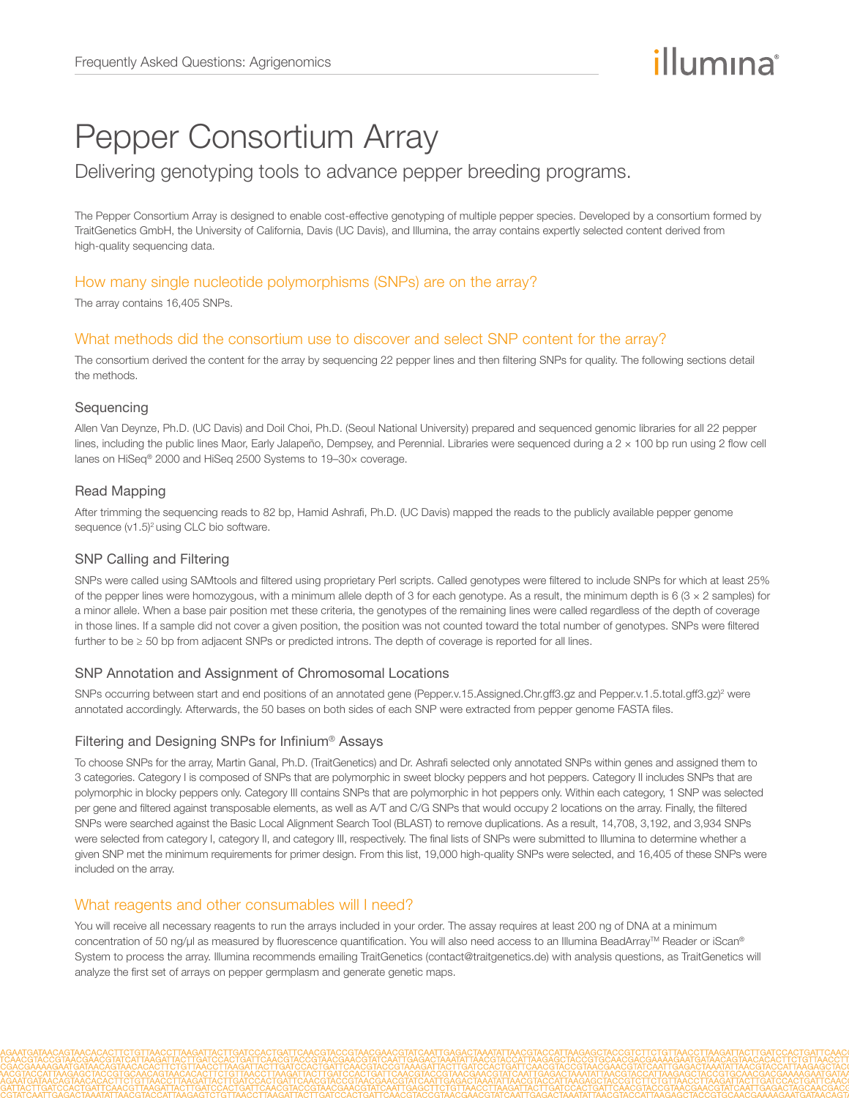# Pepper Consortium Array

# Delivering genotyping tools to advance pepper breeding programs.

The Pepper Consortium Array is designed to enable cost-effective genotyping of multiple pepper species. Developed by a consortium formed by TraitGenetics GmbH, the University of California, Davis (UC Davis), and Illumina, the array contains expertly selected content derived from high-quality sequencing data.

# How many single nucleotide polymorphisms (SNPs) are on the array?

The array contains 16,405 SNPs.

# What methods did the consortium use to discover and select SNP content for the array?

The consortium derived the content for the array by sequencing 22 pepper lines and then filtering SNPs for quality. The following sections detail the methods.

# Sequencing

Allen Van Deynze, Ph.D. (UC Davis) and Doil Choi, Ph.D. (Seoul National University) prepared and sequenced genomic libraries for all 22 pepper lines, including the public lines Maor, Early Jalapeño, Dempsey, and Perennial. Libraries were sequenced during a 2 × 100 bp run using 2 flow cell lanes on HiSeq® 2000 and HiSeq 2500 Systems to 19–30× coverage.

# Read Mapping

After trimming the sequencing reads to 82 bp, Hamid Ashrafi, Ph.D. (UC Davis) mapped the reads to the publicly available pepper genome sequence (v1.5)<sup>[2](#page-1-0)</sup> using CLC bio software.

#### SNP Calling and Filtering

SNPs were called using SAMtools and filtered using proprietary Perl scripts. Called genotypes were filtered to include SNPs for which at least 25% of the pepper lines were homozygous, with a minimum allele depth of 3 for each genotype. As a result, the minimum depth is  $6$  (3  $\times$  2 samples) for a minor allele. When a base pair position met these criteria, the genotypes of the remaining lines were called regardless of the depth of coverage in those lines. If a sample did not cover a given position, the position was not counted toward the total number of genotypes. SNPs were filtered further to be ≥ 50 bp from adjacent SNPs or predicted introns. The depth of coverage is reported for all lines.

#### SNP Annotation and Assignment of Chromosomal Locations

SNPs occurring between start and end positions of an annotated gene (Pepper.v.15.Assigned.Chr.gff3.gz and Pepper.v.1.5.total.gff3.gz)<sup>[2](#page-1-0)</sup> were annotated accordingly. Afterwards, the 50 bases on both sides of each SNP were extracted from pepper genome FASTA files.

#### Filtering and Designing SNPs for Infinium® Assays

To choose SNPs for the array, Martin Ganal, Ph.D. (TraitGenetics) and Dr. Ashrafi selected only annotated SNPs within genes and assigned them to 3 categories. Category I is composed of SNPs that are polymorphic in sweet blocky peppers and hot peppers. Category II includes SNPs that are polymorphic in blocky peppers only. Category III contains SNPs that are polymorphic in hot peppers only. Within each category, 1 SNP was selected per gene and filtered against transposable elements, as well as A/T and C/G SNPs that would occupy 2 locations on the array. Finally, the filtered SNPs were searched against the Basic Local Alignment Search Tool (BLAST) to remove duplications. As a result, 14,708, 3,192, and 3,934 SNPs were selected from category I, category II, and category III, respectively. The final lists of SNPs were submitted to Illumina to determine whether a given SNP met the minimum requirements for primer design. From this list, 19,000 high-quality SNPs were selected, and 16,405 of these SNPs were included on the array.

# What reagents and other consumables will I need?

You will receive all necessary reagents to run the arrays included in your order. The assay requires at least 200 ng of DNA at a minimum concentration of 50 ng/µl as measured by fluorescence quantification. You will also need access to an Illumina BeadArray™ Reader or iScan® System to process the array. Illumina recommends emailing TraitGenetics (contact@traitgenetics.de) with analysis questions, as TraitGenetics will analyze the first set of arrays on pepper germplasm and generate genetic maps.